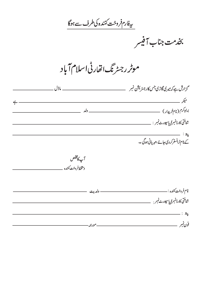<u>ىيغارم فروخت كننده كى طرف سے ہوگا</u>

بخدمت جناب آفيسر

موٹر رجسٹرنگ انقارٹی اسلام آباد

| گزارش ہےکہ میر کی گاڑی جس کارجٹریشن نمبر        |        |
|-------------------------------------------------|--------|
|                                                 |        |
|                                                 | __ ولد |
| شاختى كارڈنمبر <i>  پاسپورٹ نمبر</i> : _        |        |
| $:z_{\sharp}$                                   |        |
| ۔<br>کے نام ٹرانسفر کردی جائے ، مہر پانی ہوگی ۔ |        |

آپكامخلص دستخط فروخت كننده

| شاختى كارڈنمبرا پاسپورٹ نمبر :                                                                                                                                                                                                                                                                                                                                                                                                                         |         |
|--------------------------------------------------------------------------------------------------------------------------------------------------------------------------------------------------------------------------------------------------------------------------------------------------------------------------------------------------------------------------------------------------------------------------------------------------------|---------|
| $\mathbb{R}^n_{\widetilde{\mathbf{z}}^n_{\widetilde{\mathbf{z}}^n_{\widetilde{\mathbf{z}}^n_{\widetilde{\mathbf{z}}^n_{\widetilde{\mathbf{z}}^n_{\widetilde{\mathbf{z}}^n_{\widetilde{\mathbf{z}}^n_{\widetilde{\mathbf{z}}^n_{\widetilde{\mathbf{z}}^n_{\widetilde{\mathbf{z}}^n_{\widetilde{\mathbf{z}}^n_{\widetilde{\mathbf{z}}^n_{\widetilde{\mathbf{z}}^n_{\widetilde{\mathbf{z}}^n_{\widetilde{\mathbf{z}}^n_{\widetilde{\mathbf{z}}^n_{\widet$ |         |
| فون نمبه                                                                                                                                                                                                                                                                                                                                                                                                                                               | مورځه - |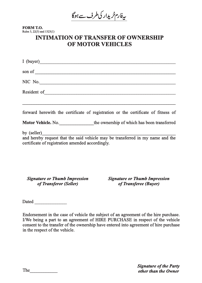یەفارم خریدار کی *طر*ف سے ہوگا

**FORM T.O.** Rules 3, 22(3) and 1323(1)

## **INTIMATION OF TRANSFER OF OWNERSHIP OF MOTOR VEHICLES**

| I (buyer)                                                       |                                                                                    |
|-----------------------------------------------------------------|------------------------------------------------------------------------------------|
| son of $\qquad \qquad$                                          |                                                                                    |
| NIC No. $\qquad \qquad$                                         |                                                                                    |
| Resident of <u>Communications</u>                               |                                                                                    |
|                                                                 | forward here with the certificate of registration or the certificate of fitness of |
|                                                                 | Motor Vehicle. No. the ownership of which has been transferred                     |
| by $(self)$<br>certificate of registration amended accordingly. | and hereby request that the said vehicle may be transferred in my name and the     |

*Signature or Thumb Impression of Transferor (Seller)*

*Signature or Thumb Impression of Transferee (Buyer)*

Dated  $\Box$ 

Endorsement in the case of vehicle the subject of an agreement of the hire purchase. I/We being a part to an agreement of HIRE PURCHASE in respect of the vehicle consent to the transfer of the ownership have entered into agreement of hire purchase in the respect of the vehicle.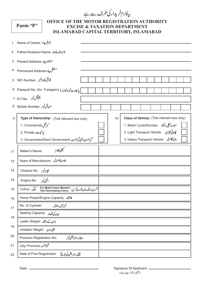بیفارم خریدار کی طرف سے ہے

| rorm | $(1 - 1)$ |
|------|-----------|
|      |           |

## OFFICE OF THE MOTOR REGISTRATION AUTHORITY **EXCISE & TAXATION DEPARTMENT ISLAMABAD CAPITAL TERRITORY, ISLAMABAD**

| $\mathbf{1}$   | نام خریدار :Name of Owner                                                                       |  |    |                                                       |  |  |  |  |  |  |
|----------------|-------------------------------------------------------------------------------------------------|--|----|-------------------------------------------------------|--|--|--|--|--|--|
| 2              | نام والدرخاوند : Father/Husband Name                                                            |  |    |                                                       |  |  |  |  |  |  |
| 3              | Present Address: موجوده پيد                                                                     |  |    |                                                       |  |  |  |  |  |  |
| $\overline{4}$ | مستقل پية:Permanent Address                                                                     |  |    |                                                       |  |  |  |  |  |  |
| 5              | شاختی کارڈنمبر :NIC Number                                                                      |  |    |                                                       |  |  |  |  |  |  |
|                | 6 Passport No. (for Foreigner) (فارز) 6 Passport No. (for Foreigner)                            |  |    |                                                       |  |  |  |  |  |  |
|                | 7 N.T.No. الكم فيكس نمبر                                                                        |  |    |                                                       |  |  |  |  |  |  |
| 8              | موبأكل نمبر Mobile Number                                                                       |  |    |                                                       |  |  |  |  |  |  |
| 9              | Type of Ownership: (Tick relevant box only)                                                     |  | 10 | Class of Vehicle: (Tick relevant box only)            |  |  |  |  |  |  |
|                | م مرشل 1. Commercial                                                                            |  |    | 1. Motor Cycle/Scooter. موٹرسائیکل <i>(سکوٹر</i>      |  |  |  |  |  |  |
|                | 2. Private يرائيويث                                                                             |  |    | 2. Light Transport Vehicle 2. Light Transport Vehicle |  |  |  |  |  |  |
|                | گورنمندی بھی گورنمند . 3. Government/Semi Government . 3                                        |  |    | 3. Heavy Transport Vehicle 3.                         |  |  |  |  |  |  |
| 11             | ستمپنی کانام<br>Maker's Name:                                                                   |  |    |                                                       |  |  |  |  |  |  |
| 12             | Years of Manufacture: پناوٹ کا سال                                                              |  |    |                                                       |  |  |  |  |  |  |
| 13             | جييزتمبر . Chassis No                                                                           |  |    |                                                       |  |  |  |  |  |  |
| 14             | الجن نمبر . Engine No                                                                           |  |    |                                                       |  |  |  |  |  |  |
| 15             | رنگ Colour<br>For Multi Colour Mention<br>  اگرزیادہ رنگ ہوں تودرج کریں   Two Dominating Colour |  |    |                                                       |  |  |  |  |  |  |
| 16             | Horse Power/Engine Capacity <b>الت</b>                                                          |  |    |                                                       |  |  |  |  |  |  |
| 17             | نمبرآف سلنڈر<br>No. of Cylinder                                                                 |  |    |                                                       |  |  |  |  |  |  |
|                | سيٺ کي تعداد :Seating Capacity                                                                  |  |    |                                                       |  |  |  |  |  |  |
| 18             | وزن کے ساتھ :Laden Weight                                                                       |  |    |                                                       |  |  |  |  |  |  |
| 19             | لِغَيْرُوزْنْ Unladen Weight:                                                                   |  |    |                                                       |  |  |  |  |  |  |
| 20             | سابقه رجسر يش نمبر<br>Previous Registration No:                                                 |  |    |                                                       |  |  |  |  |  |  |
| 21             | شهر صوبه City/ Province                                                                         |  |    |                                                       |  |  |  |  |  |  |
| 22             | پہلی رجسٹریشن کی تاریخ<br>Date of First Registration                                            |  |    |                                                       |  |  |  |  |  |  |